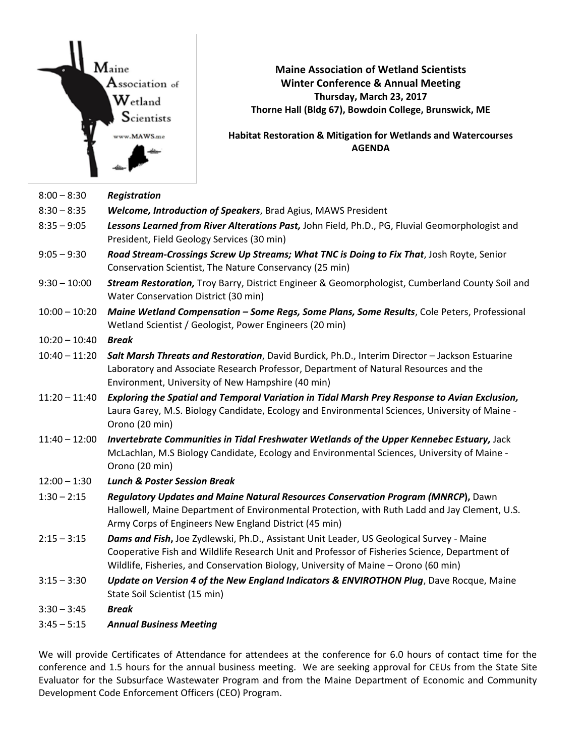Maine  $\mathbf A$ ssociation of  $\mathbf{W}_{\text{etland}}$  ${\mathbf S}$ cientists ww.MAWS.me

**Maine Association of Wetland Scientists Winter Conference & Annual Meeting Thursday, March 23, 2017 Thorne Hall (Bldg 67), Bowdoin College, Brunswick, ME** 

**Habitat Restoration & Mitigation for Wetlands and Watercourses AGENDA** 

| $8:00 - 8:30$   | <b>Registration</b>                                                                                                                                                                                                                                                              |
|-----------------|----------------------------------------------------------------------------------------------------------------------------------------------------------------------------------------------------------------------------------------------------------------------------------|
| $8:30 - 8:35$   | <b>Welcome, Introduction of Speakers</b> , Brad Agius, MAWS President                                                                                                                                                                                                            |
| $8:35 - 9:05$   | Lessons Learned from River Alterations Past, John Field, Ph.D., PG, Fluvial Geomorphologist and<br>President, Field Geology Services (30 min)                                                                                                                                    |
| $9:05 - 9:30$   | Road Stream-Crossings Screw Up Streams; What TNC is Doing to Fix That, Josh Royte, Senior<br>Conservation Scientist, The Nature Conservancy (25 min)                                                                                                                             |
| $9:30 - 10:00$  | Stream Restoration, Troy Barry, District Engineer & Geomorphologist, Cumberland County Soil and<br>Water Conservation District (30 min)                                                                                                                                          |
| $10:00 - 10:20$ | Maine Wetland Compensation - Some Regs, Some Plans, Some Results, Cole Peters, Professional<br>Wetland Scientist / Geologist, Power Engineers (20 min)                                                                                                                           |
| $10:20 - 10:40$ | <b>Break</b>                                                                                                                                                                                                                                                                     |
| $10:40 - 11:20$ | Salt Marsh Threats and Restoration, David Burdick, Ph.D., Interim Director - Jackson Estuarine<br>Laboratory and Associate Research Professor, Department of Natural Resources and the<br>Environment, University of New Hampshire (40 min)                                      |
| $11:20 - 11:40$ | Exploring the Spatial and Temporal Variation in Tidal Marsh Prey Response to Avian Exclusion,<br>Laura Garey, M.S. Biology Candidate, Ecology and Environmental Sciences, University of Maine -<br>Orono (20 min)                                                                |
| $11:40 - 12:00$ | Invertebrate Communities in Tidal Freshwater Wetlands of the Upper Kennebec Estuary, Jack<br>McLachlan, M.S Biology Candidate, Ecology and Environmental Sciences, University of Maine -<br>Orono (20 min)                                                                       |
| $12:00 - 1:30$  | <b>Lunch &amp; Poster Session Break</b>                                                                                                                                                                                                                                          |
| $1:30 - 2:15$   | Regulatory Updates and Maine Natural Resources Conservation Program (MNRCP), Dawn<br>Hallowell, Maine Department of Environmental Protection, with Ruth Ladd and Jay Clement, U.S.<br>Army Corps of Engineers New England District (45 min)                                      |
| $2:15 - 3:15$   | Dams and Fish, Joe Zydlewski, Ph.D., Assistant Unit Leader, US Geological Survey - Maine<br>Cooperative Fish and Wildlife Research Unit and Professor of Fisheries Science, Department of<br>Wildlife, Fisheries, and Conservation Biology, University of Maine - Orono (60 min) |
| $3:15 - 3:30$   | Update on Version 4 of the New England Indicators & ENVIROTHON Plug, Dave Rocque, Maine<br>State Soil Scientist (15 min)                                                                                                                                                         |
| $3:30 - 3:45$   | <b>Break</b>                                                                                                                                                                                                                                                                     |
| $3:45 - 5:15$   | <b>Annual Business Meeting</b>                                                                                                                                                                                                                                                   |

We will provide Certificates of Attendance for attendees at the conference for 6.0 hours of contact time for the conference and 1.5 hours for the annual business meeting. We are seeking approval for CEUs from the State Site Evaluator for the Subsurface Wastewater Program and from the Maine Department of Economic and Community Development Code Enforcement Officers (CEO) Program.